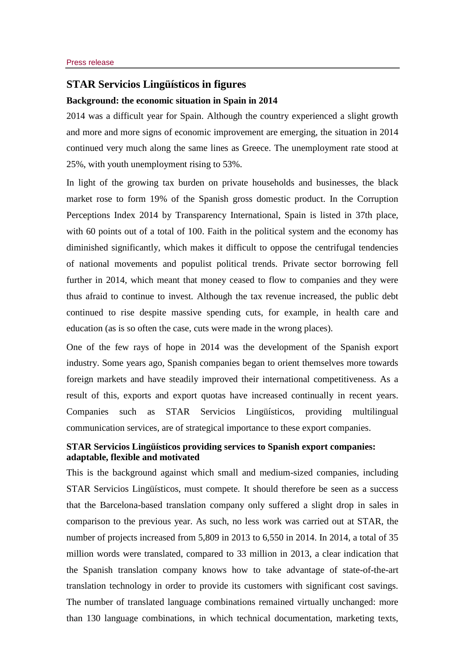## **STAR Servicios Lingüísticos in figures**

## **Background: the economic situation in Spain in 2014**

2014 was a difficult year for Spain. Although the country experienced a slight growth and more and more signs of economic improvement are emerging, the situation in 2014 continued very much along the same lines as Greece. The unemployment rate stood at 25%, with youth unemployment rising to 53%.

In light of the growing tax burden on private households and businesses, the black market rose to form 19% of the Spanish gross domestic product. In the Corruption Perceptions Index 2014 by Transparency International, Spain is listed in 37th place, with 60 points out of a total of 100. Faith in the political system and the economy has diminished significantly, which makes it difficult to oppose the centrifugal tendencies of national movements and populist political trends. Private sector borrowing fell further in 2014, which meant that money ceased to flow to companies and they were thus afraid to continue to invest. Although the tax revenue increased, the public debt continued to rise despite massive spending cuts, for example, in health care and education (as is so often the case, cuts were made in the wrong places).

One of the few rays of hope in 2014 was the development of the Spanish export industry. Some years ago, Spanish companies began to orient themselves more towards foreign markets and have steadily improved their international competitiveness. As a result of this, exports and export quotas have increased continually in recent years. Companies such as STAR Servicios Lingüísticos, providing multilingual communication services, are of strategical importance to these export companies.

## **STAR Servicios Lingüísticos providing services to Spanish export companies: adaptable, flexible and motivated**

This is the background against which small and medium-sized companies, including STAR Servicios Lingüísticos, must compete. It should therefore be seen as a success that the Barcelona-based translation company only suffered a slight drop in sales in comparison to the previous year. As such, no less work was carried out at STAR, the number of projects increased from 5,809 in 2013 to 6,550 in 2014. In 2014, a total of 35 million words were translated, compared to 33 million in 2013, a clear indication that the Spanish translation company knows how to take advantage of state-of-the-art translation technology in order to provide its customers with significant cost savings. The number of translated language combinations remained virtually unchanged: more than 130 language combinations, in which technical documentation, marketing texts,